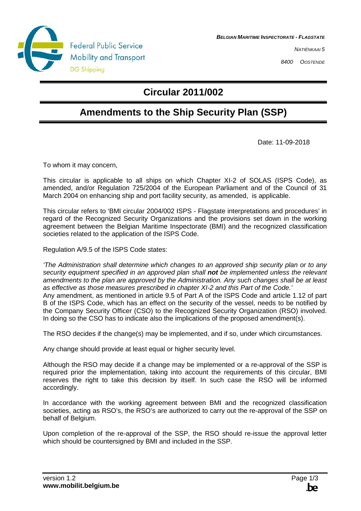

**BELGIAN MARITIME INSPECTORATE - FLAGSTATE**

NATIËNKAAI 5

8400 OOSTENDE

## **Circular 2011/002**

## **Amendments to the Ship Security Plan (SSP)**

Date: 11-09-2018

To whom it may concern,

This circular is applicable to all ships on which Chapter XI-2 of SOLAS (ISPS Code), as amended, and/or Regulation 725/2004 of the European Parliament and of the Council of 31 March 2004 on enhancing ship and port facility security, as amended, is applicable.

This circular refers to 'BMI circular 2004/002 ISPS - Flagstate interpretations and procedures' in regard of the Recognized Security Organizations and the provisions set down in the working agreement between the Belgian Maritime Inspectorate (BMI) and the recognized classification societies related to the application of the ISPS Code.

Regulation A/9.5 of the ISPS Code states:

'The Administration shall determine which changes to an approved ship security plan or to any security equipment specified in an approved plan shall **not** be implemented unless the relevant amendments to the plan are approved by the Administration. Any such changes shall be at least as effective as those measures prescribed in chapter XI-2 and this Part of the Code.' Any amendment, as mentioned in article 9.5 of Part A of the ISPS Code and article 1.12 of part B of the ISPS Code, which has an effect on the security of the vessel, needs to be notified by the Company Security Officer (CSO) to the Recognized Security Organization (RSO) involved. In doing so the CSO has to indicate also the implications of the proposed amendment(s).

The RSO decides if the change(s) may be implemented, and if so, under which circumstances.

Any change should provide at least equal or higher security level.

Although the RSO may decide if a change may be implemented or a re-approval of the SSP is required prior the implementation, taking into account the requirements of this circular, BMI reserves the right to take this decision by itself. In such case the RSO will be informed accordingly.

In accordance with the working agreement between BMI and the recognized classification societies, acting as RSO's, the RSO's are authorized to carry out the re-approval of the SSP on behalf of Belgium.

Upon completion of the re-approval of the SSP, the RSO should re-issue the approval letter which should be countersigned by BMI and included in the SSP.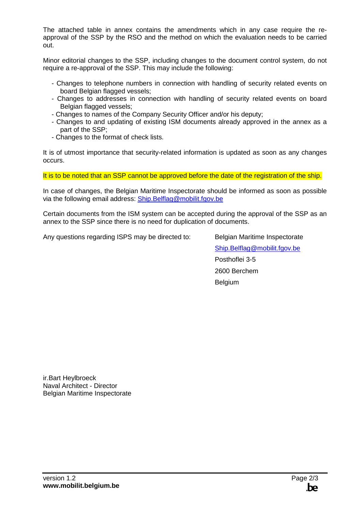The attached table in annex contains the amendments which in any case require the reapproval of the SSP by the RSO and the method on which the evaluation needs to be carried out.

Minor editorial changes to the SSP, including changes to the document control system, do not require a re-approval of the SSP. This may include the following:

- Changes to telephone numbers in connection with handling of security related events on board Belgian flagged vessels;
- Changes to addresses in connection with handling of security related events on board Belgian flagged vessels;
- Changes to names of the Company Security Officer and/or his deputy;
- Changes to and updating of existing ISM documents already approved in the annex as a part of the SSP;
- Changes to the format of check lists.

It is of utmost importance that security-related information is updated as soon as any changes occurs.

It is to be noted that an SSP cannot be approved before the date of the registration of the ship.

In case of changes, the Belgian Maritime Inspectorate should be informed as soon as possible via the following email address: Ship.Belflag@mobilit.fgov.be

Certain documents from the ISM system can be accepted during the approval of the SSP as an annex to the SSP since there is no need for duplication of documents.

Any questions regarding ISPS may be directed to: Belgian Maritime Inspectorate

 Ship.Belflag@mobilit.fgov.be Posthoflei 3-5 2600 Berchem Belgium

ir.Bart Heylbroeck Naval Architect - Director Belgian Maritime Inspectorate